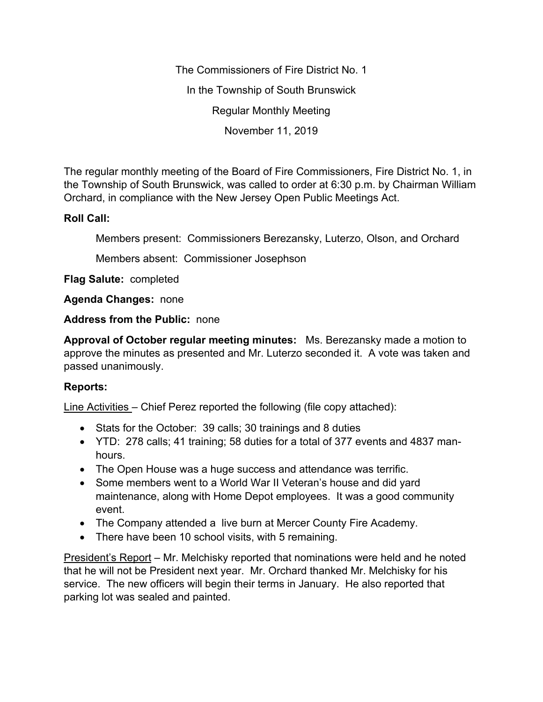The Commissioners of Fire District No. 1 In the Township of South Brunswick Regular Monthly Meeting November 11, 2019

The regular monthly meeting of the Board of Fire Commissioners, Fire District No. 1, in the Township of South Brunswick, was called to order at 6:30 p.m. by Chairman William Orchard, in compliance with the New Jersey Open Public Meetings Act.

## **Roll Call:**

Members present: Commissioners Berezansky, Luterzo, Olson, and Orchard

Members absent: Commissioner Josephson

**Flag Salute:** completed

**Agenda Changes:** none

**Address from the Public:** none

**Approval of October regular meeting minutes:** Ms. Berezansky made a motion to approve the minutes as presented and Mr. Luterzo seconded it. A vote was taken and passed unanimously.

## **Reports:**

Line Activities – Chief Perez reported the following (file copy attached):

- Stats for the October: 39 calls; 30 trainings and 8 duties
- YTD: 278 calls; 41 training; 58 duties for a total of 377 events and 4837 manhours.
- The Open House was a huge success and attendance was terrific.
- Some members went to a World War II Veteran's house and did yard maintenance, along with Home Depot employees. It was a good community event.
- The Company attended a live burn at Mercer County Fire Academy.
- There have been 10 school visits, with 5 remaining.

President's Report – Mr. Melchisky reported that nominations were held and he noted that he will not be President next year. Mr. Orchard thanked Mr. Melchisky for his service. The new officers will begin their terms in January. He also reported that parking lot was sealed and painted.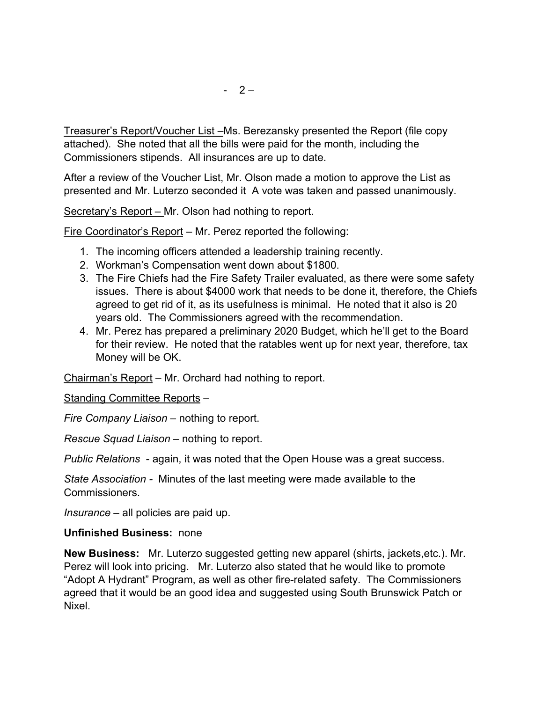Treasurer's Report/Voucher List –Ms. Berezansky presented the Report (file copy attached). She noted that all the bills were paid for the month, including the Commissioners stipends. All insurances are up to date.

After a review of the Voucher List, Mr. Olson made a motion to approve the List as presented and Mr. Luterzo seconded it A vote was taken and passed unanimously.

Secretary's Report – Mr. Olson had nothing to report.

Fire Coordinator's Report – Mr. Perez reported the following:

- 1. The incoming officers attended a leadership training recently.
- 2. Workman's Compensation went down about \$1800.
- 3. The Fire Chiefs had the Fire Safety Trailer evaluated, as there were some safety issues. There is about \$4000 work that needs to be done it, therefore, the Chiefs agreed to get rid of it, as its usefulness is minimal. He noted that it also is 20 years old. The Commissioners agreed with the recommendation.
- 4. Mr. Perez has prepared a preliminary 2020 Budget, which he'll get to the Board for their review. He noted that the ratables went up for next year, therefore, tax Money will be OK.

Chairman's Report – Mr. Orchard had nothing to report.

Standing Committee Reports –

*Fire Company Liaison –* nothing to report.

*Rescue Squad Liaison –* nothing to report.

*Public Relations* - again, it was noted that the Open House was a great success.

*State Association -* Minutes of the last meeting were made available to the Commissioners.

*Insurance –* all policies are paid up.

## **Unfinished Business:** none

**New Business:** Mr. Luterzo suggested getting new apparel (shirts, jackets,etc.). Mr. Perez will look into pricing. Mr. Luterzo also stated that he would like to promote "Adopt A Hydrant" Program, as well as other fire-related safety. The Commissioners agreed that it would be an good idea and suggested using South Brunswick Patch or Nixel.